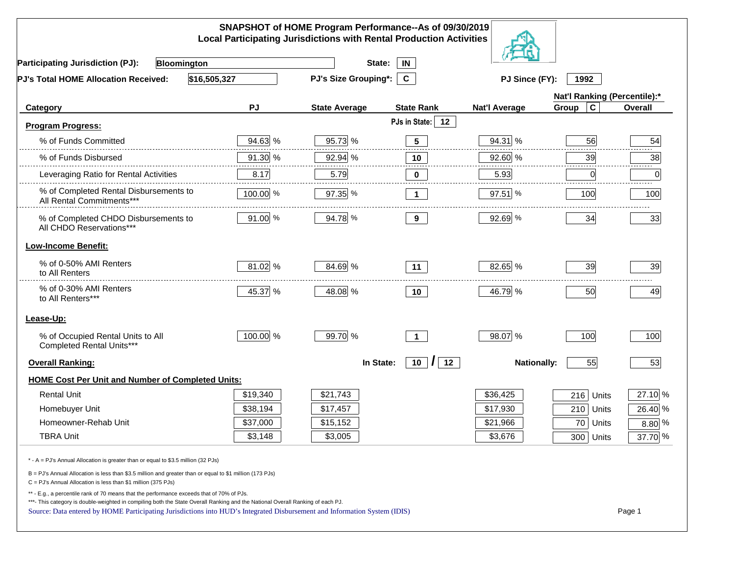|                                                                                                                                                                                                                                                                                                                                                          |           | SNAPSHOT of HOME Program Performance--As of 09/30/2019<br><b>Local Participating Jurisdictions with Rental Production Activities</b> |                     |                        |                              |           |  |
|----------------------------------------------------------------------------------------------------------------------------------------------------------------------------------------------------------------------------------------------------------------------------------------------------------------------------------------------------------|-----------|--------------------------------------------------------------------------------------------------------------------------------------|---------------------|------------------------|------------------------------|-----------|--|
| <b>Participating Jurisdiction (PJ):</b><br>Bloomington                                                                                                                                                                                                                                                                                                   |           | State:                                                                                                                               | IN                  |                        |                              |           |  |
| \$16,505,327<br>PJ's Total HOME Allocation Received:                                                                                                                                                                                                                                                                                                     |           | <b>PJ's Size Grouping*:</b>                                                                                                          | $\mathbf{c}$        | PJ Since (FY):<br>1992 |                              |           |  |
|                                                                                                                                                                                                                                                                                                                                                          |           |                                                                                                                                      |                     |                        | Nat'l Ranking (Percentile):* |           |  |
| Category                                                                                                                                                                                                                                                                                                                                                 | <b>PJ</b> | <b>State Average</b>                                                                                                                 | <b>State Rank</b>   | <b>Nat'l Average</b>   | $\mathbf c$<br>Group         | Overall   |  |
| <b>Program Progress:</b>                                                                                                                                                                                                                                                                                                                                 |           |                                                                                                                                      | PJs in State:<br>12 |                        |                              |           |  |
| % of Funds Committed                                                                                                                                                                                                                                                                                                                                     | 94.63 %   | 95.73 %                                                                                                                              | $5\phantom{.0}$     | 94.31 %                | 56                           | 54        |  |
| % of Funds Disbursed                                                                                                                                                                                                                                                                                                                                     | 91.30 %   | 92.94 %                                                                                                                              | 10                  | 92.60 %                | 39                           | 38        |  |
| Leveraging Ratio for Rental Activities                                                                                                                                                                                                                                                                                                                   | 8.17      | 5.79                                                                                                                                 | 0                   | 5.93                   | 0                            | 0         |  |
| % of Completed Rental Disbursements to<br>All Rental Commitments***                                                                                                                                                                                                                                                                                      | 100.00 %  | 97.35 %                                                                                                                              | $\mathbf 1$         | 97.51 %                | 100                          | 100       |  |
| % of Completed CHDO Disbursements to<br>All CHDO Reservations***                                                                                                                                                                                                                                                                                         | 91.00 %   | 94.78 %                                                                                                                              | 9                   | 92.69 %                | 34                           | 33        |  |
| <b>Low-Income Benefit:</b>                                                                                                                                                                                                                                                                                                                               |           |                                                                                                                                      |                     |                        |                              |           |  |
| % of 0-50% AMI Renters<br>to All Renters                                                                                                                                                                                                                                                                                                                 | 81.02 %   | 84.69 %                                                                                                                              | 11                  | 82.65 %                | 39                           | 39        |  |
| % of 0-30% AMI Renters<br>to All Renters***                                                                                                                                                                                                                                                                                                              | 45.37 %   | 48.08 %                                                                                                                              | 10                  | 46.79 %                | 50                           | 49        |  |
| Lease-Up:                                                                                                                                                                                                                                                                                                                                                |           |                                                                                                                                      |                     |                        |                              |           |  |
| % of Occupied Rental Units to All<br>Completed Rental Units***                                                                                                                                                                                                                                                                                           | 100.00 %  | 99.70 %                                                                                                                              | $\overline{1}$      | 98.07 %                | 100                          | 100       |  |
| <b>Overall Ranking:</b>                                                                                                                                                                                                                                                                                                                                  |           | In State:                                                                                                                            | $10$ $\vert$<br>12  | <b>Nationally:</b>     | 55                           | 53        |  |
| <b>HOME Cost Per Unit and Number of Completed Units:</b>                                                                                                                                                                                                                                                                                                 |           |                                                                                                                                      |                     |                        |                              |           |  |
| <b>Rental Unit</b>                                                                                                                                                                                                                                                                                                                                       | \$19,340  | \$21,743                                                                                                                             |                     | \$36,425               | 216<br>Units                 | 27.10 %   |  |
| Homebuyer Unit                                                                                                                                                                                                                                                                                                                                           | \$38,194  | \$17,457                                                                                                                             |                     | \$17,930               | 210 Units                    | 26.40 %   |  |
| Homeowner-Rehab Unit                                                                                                                                                                                                                                                                                                                                     | \$37,000  | \$15,152                                                                                                                             |                     | \$21,966               | 70 Units                     | $8.80\%$  |  |
| <b>TBRA Unit</b>                                                                                                                                                                                                                                                                                                                                         | \$3,148   | \$3,005                                                                                                                              |                     | \$3,676                | 300 Units                    | $37.70\%$ |  |
| * - A = PJ's Annual Allocation is greater than or equal to \$3.5 million (32 PJs)                                                                                                                                                                                                                                                                        |           |                                                                                                                                      |                     |                        |                              |           |  |
| B = PJ's Annual Allocation is less than \$3.5 million and greater than or equal to \$1 million (173 PJs)<br>C = PJ's Annual Allocation is less than \$1 million (375 PJs)                                                                                                                                                                                |           |                                                                                                                                      |                     |                        |                              |           |  |
| ** - E.g., a percentile rank of 70 means that the performance exceeds that of 70% of PJs.<br>***- This category is double-weighted in compiling both the State Overall Ranking and the National Overall Ranking of each PJ.<br>Source: Data entered by HOME Participating Jurisdictions into HUD's Integrated Disbursement and Information System (IDIS) |           |                                                                                                                                      |                     |                        |                              | Page 1    |  |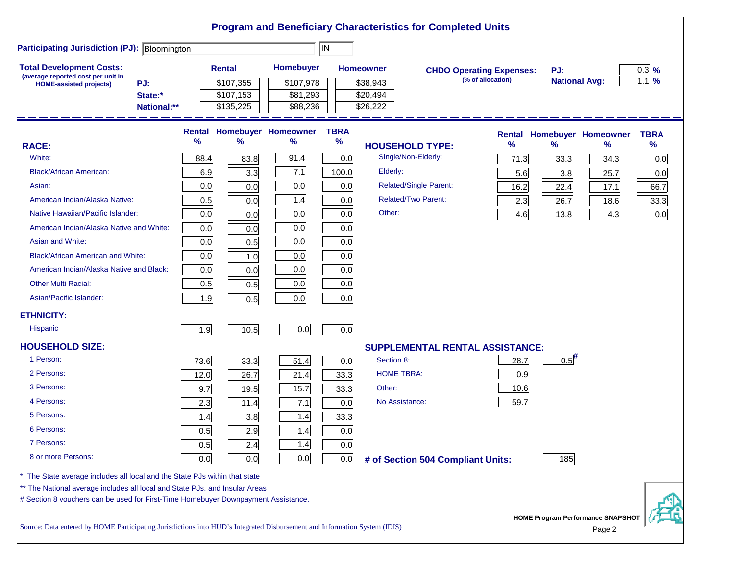|                                                                                   |             |      |               |                            |                          | <b>Program and Beneficiary Characteristics for Completed Units</b> |                                 |                      |                                   |             |
|-----------------------------------------------------------------------------------|-------------|------|---------------|----------------------------|--------------------------|--------------------------------------------------------------------|---------------------------------|----------------------|-----------------------------------|-------------|
| <b>Participating Jurisdiction (PJ): Bloomington</b>                               |             |      |               |                            | $\overline{\mathsf{IN}}$ |                                                                    |                                 |                      |                                   |             |
| <b>Total Development Costs:</b>                                                   |             |      | <b>Rental</b> | Homebuyer                  |                          | <b>Homeowner</b>                                                   | <b>CHDO Operating Expenses:</b> | PJ:                  |                                   | $0.3$ %     |
| (average reported cost per unit in<br><b>HOME-assisted projects)</b>              | PJ:         |      | \$107,355     | \$107,978                  |                          | \$38,943                                                           | (% of allocation)               | <b>National Avg:</b> |                                   | $1.1$ %     |
|                                                                                   | State:*     |      | \$107,153     | \$81,293                   |                          | \$20,494                                                           |                                 |                      |                                   |             |
|                                                                                   | National:** |      | \$135,225     | \$88,236                   |                          | \$26,222                                                           |                                 |                      |                                   |             |
|                                                                                   |             |      |               | Rental Homebuyer Homeowner | <b>TBRA</b>              |                                                                    |                                 |                      | <b>Rental Homebuyer Homeowner</b> | <b>TBRA</b> |
| <b>RACE:</b>                                                                      |             | %    | %             | %                          | $\%$                     | <b>HOUSEHOLD TYPE:</b>                                             | %                               | $\frac{9}{6}$        | %                                 | $\%$        |
| White:                                                                            |             | 88.4 | 83.8          | 91.4                       | 0.0                      | Single/Non-Elderly:                                                | 71.3                            | 33.3                 | 34.3                              | 0.0         |
| <b>Black/African American:</b>                                                    |             | 6.9  | 3.3           | 7.1                        | 100.0                    | Elderly:                                                           | 5.6                             | 3.8                  | 25.7                              | 0.0         |
| Asian:                                                                            |             | 0.0  | 0.0           | 0.0                        | 0.0                      | <b>Related/Single Parent:</b>                                      | 16.2                            | 22.4                 | 17.1                              | 66.7        |
| American Indian/Alaska Native:                                                    |             | 0.5  | 0.0           | 1.4                        | 0.0                      | <b>Related/Two Parent:</b>                                         | 2.3                             | 26.7                 | 18.6                              | 33.3        |
| Native Hawaiian/Pacific Islander:                                                 |             | 0.0  | 0.0           | 0.0                        | 0.0                      | Other:                                                             | 4.6                             | 13.8                 | 4.3                               | 0.0         |
| American Indian/Alaska Native and White:                                          |             | 0.0  | 0.0           | 0.0                        | 0.0                      |                                                                    |                                 |                      |                                   |             |
| Asian and White:                                                                  |             | 0.0  | 0.5           | 0.0                        | 0.0                      |                                                                    |                                 |                      |                                   |             |
| <b>Black/African American and White:</b>                                          |             | 0.0  | 1.0           | 0.0                        | 0.0                      |                                                                    |                                 |                      |                                   |             |
| American Indian/Alaska Native and Black:                                          |             | 0.0  | 0.0           | 0.0                        | 0.0                      |                                                                    |                                 |                      |                                   |             |
| <b>Other Multi Racial:</b>                                                        |             | 0.5  | 0.5           | 0.0                        | 0.0                      |                                                                    |                                 |                      |                                   |             |
| Asian/Pacific Islander:                                                           |             | 1.9  | 0.5           | 0.0                        | 0.0                      |                                                                    |                                 |                      |                                   |             |
| <b>ETHNICITY:</b>                                                                 |             |      |               |                            |                          |                                                                    |                                 |                      |                                   |             |
| <b>Hispanic</b>                                                                   |             | 1.9  | 10.5          | 0.0                        | 0.0                      |                                                                    |                                 |                      |                                   |             |
| <b>HOUSEHOLD SIZE:</b>                                                            |             |      |               |                            |                          | <b>SUPPLEMENTAL RENTAL ASSISTANCE:</b>                             |                                 |                      |                                   |             |
| 1 Person:                                                                         |             | 73.6 | 33.3          | 51.4                       | 0.0                      | Section 8:                                                         | 28.7                            | $0.5$ <sup>#</sup>   |                                   |             |
| 2 Persons:                                                                        |             | 12.0 | 26.7          | 21.4                       | 33.3                     | <b>HOME TBRA:</b>                                                  | 0.9                             |                      |                                   |             |
| 3 Persons:                                                                        |             | 9.7  | 19.5          | 15.7                       | 33.3                     | Other:                                                             | 10.6                            |                      |                                   |             |
| 4 Persons:                                                                        |             | 2.3  | 11.4          | 7.1                        | 0.0                      | No Assistance:                                                     | 59.7                            |                      |                                   |             |
| 5 Persons:                                                                        |             | 1.4  | 3.8           | 1.4                        | 33.3                     |                                                                    |                                 |                      |                                   |             |
| 6 Persons:                                                                        |             | 0.5  | 2.9           | $1.4$                      | 0.0                      |                                                                    |                                 |                      |                                   |             |
| 7 Persons:                                                                        |             | 0.5  | 2.4           | 1.4                        | 0.0                      |                                                                    |                                 |                      |                                   |             |
| 8 or more Persons:                                                                |             | 0.0  | 0.0           | 0.0                        | 0.0                      | # of Section 504 Compliant Units:                                  |                                 | 185                  |                                   |             |
| The State average includes all local and the State PJs within that state          |             |      |               |                            |                          |                                                                    |                                 |                      |                                   |             |
| ** The National average includes all local and State PJs, and Insular Areas       |             |      |               |                            |                          |                                                                    |                                 |                      |                                   |             |
| # Section 8 vouchers can be used for First-Time Homebuyer Downpayment Assistance. |             |      |               |                            |                          |                                                                    |                                 |                      |                                   |             |
|                                                                                   |             |      |               |                            |                          |                                                                    |                                 |                      |                                   |             |

Source: Data entered by HOME Participating Jurisdictions into HUD's Integrated Disbursement and Information System (IDIS) Page 2